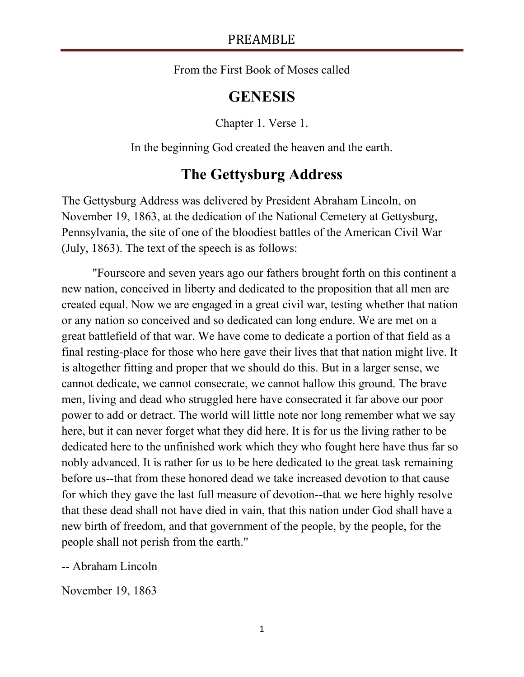From the First Book of Moses called

# **GENESIS**

Chapter 1. Verse 1.

In the beginning God created the heaven and the earth.

## **The Gettysburg Address**

The Gettysburg Address was delivered by President Abraham Lincoln, on November 19, 1863, at the dedication of the National Cemetery at Gettysburg, Pennsylvania, the site of one of the bloodiest battles of the American Civil War (July, 1863). The text of the speech is as follows:

"Fourscore and seven years ago our fathers brought forth on this continent a new nation, conceived in liberty and dedicated to the proposition that all men are created equal. Now we are engaged in a great civil war, testing whether that nation or any nation so conceived and so dedicated can long endure. We are met on a great battlefield of that war. We have come to dedicate a portion of that field as a final resting-place for those who here gave their lives that that nation might live. It is altogether fitting and proper that we should do this. But in a larger sense, we cannot dedicate, we cannot consecrate, we cannot hallow this ground. The brave men, living and dead who struggled here have consecrated it far above our poor power to add or detract. The world will little note nor long remember what we say here, but it can never forget what they did here. It is for us the living rather to be dedicated here to the unfinished work which they who fought here have thus far so nobly advanced. It is rather for us to be here dedicated to the great task remaining before us--that from these honored dead we take increased devotion to that cause for which they gave the last full measure of devotion--that we here highly resolve that these dead shall not have died in vain, that this nation under God shall have a new birth of freedom, and that government of the people, by the people, for the people shall not perish from the earth."

-- Abraham Lincoln

November 19, 1863